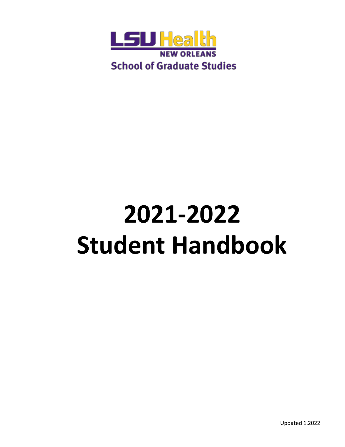

# **2021-2022 Student Handbook**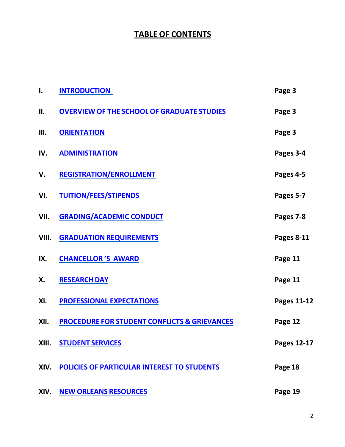# **TABLE OF CONTENTS**

| I.    | <b>INTRODUCTION</b>                                     | Page 3             |
|-------|---------------------------------------------------------|--------------------|
| II.   | <b>OVERVIEW OF THE SCHOOL OF GRADUATE STUDIES</b>       | Page 3             |
| Ш.    | <b>ORIENTATION</b>                                      | Page 3             |
| IV.   | <b>ADMINISTRATION</b>                                   | Pages 3-4          |
| V.    | <b>REGISTRATION/ENROLLMENT</b>                          | Pages 4-5          |
| VI.   | <b>TUITION/FEES/STIPENDS</b>                            | Pages 5-7          |
| VII.  | <b>GRADING/ACADEMIC CONDUCT</b>                         | Pages 7-8          |
| VIII. | <b>GRADUATION REQUIREMENTS</b>                          | Pages 8-11         |
| IX.   | <b>CHANCELLOR'S AWARD</b>                               | Page 11            |
| Χ.    | <b>RESEARCH DAY</b>                                     | Page 11            |
| XI.   | <b>PROFESSIONAL EXPECTATIONS</b>                        | <b>Pages 11-12</b> |
| XII.  | <b>PROCEDURE FOR STUDENT CONFLICTS &amp; GRIEVANCES</b> | Page 12            |
| XIII. | <b>STUDENT SERVICES</b>                                 | <b>Pages 12-17</b> |
| XIV.  | <b>POLICIES OF PARTICULAR INTEREST TO STUDENTS</b>      | Page 18            |
| XIV.  | <b>NEW ORLEANS RESOURCES</b>                            | Page 19            |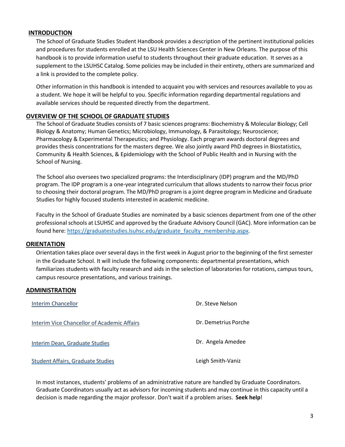#### <span id="page-2-0"></span>**INTRODUCTION**

The School of Graduate Studies Student Handbook provides a description of the pertinent institutional policies and procedures for students enrolled at the LSU Health Sciences Center in New Orleans. The purpose of this handbook is to provide information useful to students throughout their graduate education. It serves as a supplement to the LSUHSC Catalog. Some policies may be included in their entirety, others are summarized and a link is provided to the complete policy.

Other information in this handbook is intended to acquaint you with services and resources available to you as a student. We hope it will be helpful to you. Specific information regarding departmental regulations and available services should be requested directly from the department.

# <span id="page-2-1"></span>**OVERVIEW OF THE SCHOOL OF GRADUATE STUDIES**

The School of Graduate Studies consists of 7 basic sciences programs: Biochemistry & Molecular Biology; Cell Biology & Anatomy; Human Genetics; Microbiology, Immunology, & Parasitology; Neuroscience; Pharmacology & Experimental Therapeutics; and Physiology. Each program awards doctoral degrees and provides thesis concentrations for the masters degree. We also jointly award PhD degrees in Biostatistics, Community & Health Sciences, & Epidemiology with the School of Public Health and in Nursing with the School of Nursing.

The School also oversees two specialized programs: the Interdisciplinary (IDP) program and the MD/PhD program. The IDP program is a one-year integrated curriculum that allows students to narrow their focus prior to choosing their doctoral program. The MD/PhD program is a joint degree program in Medicine and Graduate Studies for highly focused students interested in academic medicine.

Faculty in the School of Graduate Studies are nominated by a basic sciences department from one of the other professional schools at LSUHSC and approved by the Graduate Advisory Council (GAC). More information can be found here: [https://graduatestudies.lsuhsc.edu/graduate\\_faculty\\_membership.aspx.](https://graduatestudies.lsuhsc.edu/graduate_faculty_membership.aspx)

#### <span id="page-2-2"></span>**ORIENTATION**

Orientation takes place overseveral days in the first week in August prior to the beginning of the first semester in the Graduate School. It will include the following components: departmental presentations, which familiarizes students with faculty research and aids in the selection of laboratories for rotations, campus tours, campus resource presentations, and various trainings.

#### <span id="page-2-3"></span>**ADMINISTRATION**

| <b>Interim Chancellor</b>                   | Dr. Steve Nelson     |
|---------------------------------------------|----------------------|
| Interim Vice Chancellor of Academic Affairs | Dr. Demetrius Porche |
| Interim Dean, Graduate Studies              | Dr. Angela Amedee    |
| Student Affairs, Graduate Studies           | Leigh Smith-Vaniz    |

In most instances, students' problems of an administrative nature are handled by Graduate Coordinators. Graduate Coordinators usually act as advisors for incoming students and may continue in this capacity until a decision is made regarding the major professor. Don't wait if a problem arises. **Seek help**!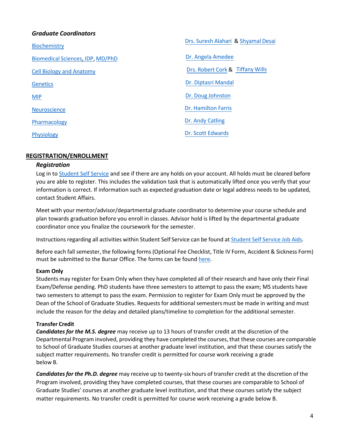# *Graduate Coordinators*

| <b>Biochemistry</b>              | Drs. Suresh Alahari & Shyamal Desai |
|----------------------------------|-------------------------------------|
| Biomedical Sciences, IDP, MD/PhD | Dr. Angela Amedee                   |
| <b>Cell Biology and Anatomy</b>  | Drs. Robert Cork & Tiffany Wills    |
| <b>Genetics</b>                  | Dr. Diptasri Mandal                 |
| <b>MIP</b>                       | Dr. Doug Johnston                   |
| <b>Neuroscience</b>              | Dr. Hamilton Farris                 |
| Pharmacology                     | Dr. Andy Catling                    |
| <b>Physiology</b>                | Dr. Scott Edwards                   |
|                                  |                                     |

# <span id="page-3-0"></span>**REGISTRATION/ENROLLMENT**

#### *Registration*

Log in to [Student](https://prd.pshe.lsuhsc.edu/psp/csprd/?cmd=login) Self Service and see if there are any holds on your account. All holds must be cleared before you are able to register. This includes the validation task that is automatically lifted once you verify that your information is correct. If information such as expected graduation date or legal address needs to be updated, contact Student Affairs.

Meet with your mentor/advisor/departmental graduate coordinator to determine your course schedule and plan towards graduation before you enroll in classes. Advisor hold is lifted by the departmental graduate coordinator once you finalize the coursework for the semester.

Instructionsregarding all activities within Student Self Service can be found at [Student](https://www.lsuhsc.edu/ps/support/ss_job-aids.aspx) Self Service Job Aids.

Before each fall semester, the following forms (Optional Fee Checklist, Title IV Form, Accident & Sickness Form) must be submitted to the Bursar Office. The forms can be foun[d here.](https://www.lsuhsc.edu/administration/accounting/bursar_registration.aspx)

# **Exam Only**

Students may register for Exam Only when they have completed all of their research and have only their Final Exam/Defense pending. PhD students have three semesters to attempt to pass the exam; MS students have two semesters to attempt to pass the exam. Permission to register for Exam Only must be approved by the Dean of the School of Graduate Studies. Requests for additional semestersmust be made in writing and must include the reason for the delay and detailed plans/timeline to completion for the additional semester.

# **Transfer Credit**

*Candidates for the M.S. degree* may receive up to 13 hours of transfer credit at the discretion of the Departmental Program involved, providing they have completed the courses, that these courses are comparable to School of Graduate Studies courses at another graduate level institution, and that these courses satisfy the subject matter requirements. No transfer credit is permitted for course work receiving a grade below B.

*Candidatesfor the Ph.D. degree* may receive up to twenty-six hours of transfer credit at the discretion of the Program involved, providing they have completed courses, that these courses are comparable to School of Graduate Studies' courses at another graduate level institution, and that these courses satisfy the subject matter requirements. No transfer credit is permitted for course work receiving a grade below B.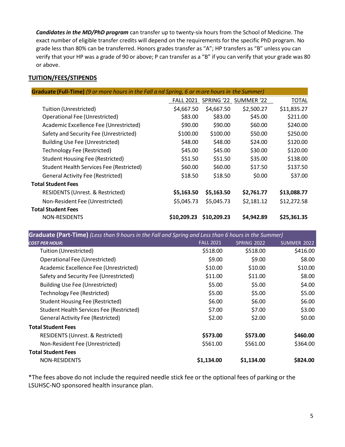*Candidates in the MD/PhD program* can transfer up to twenty-six hours from the School of Medicine. The exact number of eligible transfer credits will depend on the requirements for the specific PhD program. No grade less than 80% can be transferred. Honors grades transfer as "A"; HP transfers as "B" unless you can verify that your HP was a grade of 90 or above; P can transfer as a "B" if you can verify that your grade was 80 or above.

# <span id="page-4-0"></span>**TUITION/FEES/STIPENDS**

| <b>Graduate (Full-Time)</b> (9 or more hours in the Fall a nd Spring, 6 or more hours in the Summer) |                  |             |                       |              |
|------------------------------------------------------------------------------------------------------|------------------|-------------|-----------------------|--------------|
|                                                                                                      | <b>FALL 2021</b> |             | SPRING '22 SUMMER '22 | <b>TOTAL</b> |
| Tuition (Unrestricted)                                                                               | \$4,667.50       | \$4,667.50  | \$2,500.27            | \$11,835.27  |
| Operational Fee (Unrestricted)                                                                       | \$83.00          | \$83.00     | \$45.00               | \$211.00     |
| Academic Excellence Fee (Unrestricted)                                                               | \$90.00          | \$90.00     | \$60.00               | \$240.00     |
| Safety and Security Fee (Unrestricted)                                                               | \$100.00         | \$100.00    | \$50.00               | \$250.00     |
| <b>Building Use Fee (Unrestricted)</b>                                                               | \$48.00          | \$48.00     | \$24.00               | \$120.00     |
| <b>Technology Fee (Restricted)</b>                                                                   | \$45.00          | \$45.00     | \$30.00               | \$120.00     |
| <b>Student Housing Fee (Restricted)</b>                                                              | \$51.50          | \$51.50     | \$35.00               | \$138.00     |
| Student Health Services Fee (Restricted)                                                             | \$60.00          | \$60.00     | \$17.50               | \$137.50     |
| <b>General Activity Fee (Restricted)</b>                                                             | \$18.50          | \$18.50     | \$0.00                | \$37.00      |
| <b>Total Student Fees</b>                                                                            |                  |             |                       |              |
| <b>RESIDENTS (Unrest. &amp; Restricted)</b>                                                          | \$5,163.50       | \$5,163.50  | \$2,761.77            | \$13,088.77  |
| Non-Resident Fee (Unrestricted)                                                                      | \$5,045.73       | \$5,045.73  | \$2,181.12            | \$12,272.58  |
| <b>Total Student Fees</b>                                                                            |                  |             |                       |              |
| <b>NON-RESIDENTS</b>                                                                                 | \$10,209.23      | \$10,209.23 | \$4,942.89            | \$25,361.35  |

**Graduate (Part-Time)** *(Less than 9 hours in the Fall and Spring and Less than 6 hours in the Summer)*

| <b>COST PER HOUR:</b>                           | <b>FALL 2021</b> | <b>SPRING 2022</b> | <b>SUMMER 2022</b> |
|-------------------------------------------------|------------------|--------------------|--------------------|
| Tuition (Unrestricted)                          | \$518.00         | \$518.00           | \$416.00           |
| Operational Fee (Unrestricted)                  | \$9.00           | \$9.00             | \$8.00             |
| Academic Excellence Fee (Unrestricted)          | \$10.00          | \$10.00            | \$10.00            |
| Safety and Security Fee (Unrestricted)          | \$11.00          | \$11.00            | \$8.00             |
| <b>Building Use Fee (Unrestricted)</b>          | \$5.00           | \$5.00             | \$4.00             |
| <b>Technology Fee (Restricted)</b>              | \$5.00           | \$5.00             | \$5.00             |
| <b>Student Housing Fee (Restricted)</b>         | \$6.00           | \$6.00             | \$6.00             |
| <b>Student Health Services Fee (Restricted)</b> | \$7.00           | \$7.00             | \$3.00             |
| <b>General Activity Fee (Restricted)</b>        | \$2.00           | \$2.00             | \$0.00             |
| <b>Total Student Fees</b>                       |                  |                    |                    |
| RESIDENTS (Unrest. & Restricted)                | \$573.00         | \$573.00           | \$460.00           |
| Non-Resident Fee (Unrestricted)                 | \$561.00         | \$561.00           | \$364.00           |
| <b>Total Student Fees</b>                       |                  |                    |                    |
| <b>NON-RESIDENTS</b>                            | \$1,134.00       | \$1,134.00         | \$824.00           |
|                                                 |                  |                    |                    |

\*The fees above do not include the required needle stick fee or the optional fees of parking or the LSUHSC-NO sponsored health insurance plan.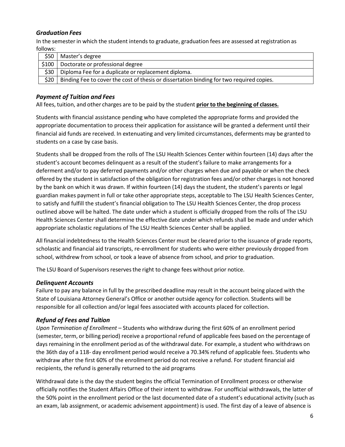# *Graduation Fees*

In the semesterin which the student intends to graduate, graduation fees are assessed at registration as follows:

| \$50  | Master's degree                                                                          |
|-------|------------------------------------------------------------------------------------------|
| \$100 | Doctorate or professional degree                                                         |
| \$30  | Diploma Fee for a duplicate or replacement diploma.                                      |
| \$20  | Binding Fee to cover the cost of thesis or dissertation binding for two required copies. |

# *Payment of Tuition and Fees*

All fees, tuition, and other charges are to be paid by the student **prior to the beginning of classes.**

Students with financial assistance pending who have completed the appropriate forms and provided the appropriate documentation to process their application for assistance will be granted a deferment until their financial aid funds are received. In extenuating and very limited circumstances, deferments may be granted to students on a case by case basis.

Students shall be dropped from the rolls of The LSU Health Sciences Center within fourteen (14) days after the student's account becomes delinquent as a result of the student's failure to make arrangements for a deferment and/or to pay deferred payments and/or other charges when due and payable or when the check offered by the student in satisfaction of the obligation for registration fees and/or other chargesis not honored by the bank on which it was drawn. If within fourteen (14) days the student, the student's parents or legal guardian makes payment in full or take other appropriate steps, acceptable to The LSU Health Sciences Center, to satisfy and fulfill the student's financial obligation to The LSU Health Sciences Center, the drop process outlined above will be halted. The date under which a student is officially dropped from the rolls of The LSU Health Sciences Center shall determine the effective date under which refunds shall be made and under which appropriate scholastic regulations of The LSU Health Sciences Center shall be applied.

All financial indebtedness to the Health Sciences Center must be cleared prior to the issuance of grade reports, scholastic and financial aid transcripts, re-enrollment for students who were either previously dropped from school, withdrew from school, or took a leave of absence from school, and prior to graduation.

The LSU Board of Supervisors reservesthe right to change fees without prior notice.

# *Delinquent Accounts*

Failure to pay any balance in full by the prescribed deadline may result in the account being placed with the State of Louisiana Attorney General's Office or another outside agency for collection. Students will be responsible for all collection and/or legal fees associated with accounts placed for collection.

# *Refund of Fees and Tuition*

*Upon Termination of Enrollment* – Students who withdraw during the first 60% of an enrollment period (semester, term, or billing period) receive a proportional refund of applicable fees based on the percentage of days remaining in the enrollment period as of the withdrawal date. For example, a student who withdraws on the 36th day of a 118- day enrollment period would receive a 70.34% refund of applicable fees. Students who withdraw after the first 60% of the enrollment period do not receive a refund. For student financial aid recipients, the refund is generally returned to the aid programs

Withdrawal date is the day the student begins the official Termination of Enrollment process or otherwise officially notifies the Student Affairs Office of their intent to withdraw. For unofficial withdrawals, the latter of the 50% point in the enrollment period or the last documented date of a student's educational activity (such as an exam, lab assignment, or academic advisement appointment) is used. The first day of a leave of absence is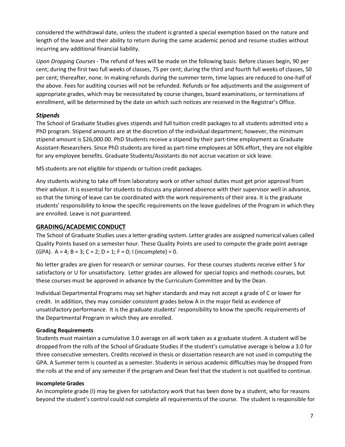considered the withdrawal date, unless the student is granted a special exemption based on the nature and length of the leave and their ability to return during the same academic period and resume studies without incurring any additional financial liability.

*Upon Dropping Courses* - The refund of fees will be made on the following basis: Before classes begin, 90 per cent; during the first two full weeks of classes, 75 per cent; during the third and fourth full weeks of classes, 50 per cent; thereafter, none. In making refunds during the summer term, time lapses are reduced to one-half of the above. Fees for auditing courses will not be refunded. Refunds or fee adjustments and the assignment of appropriate grades, which may be necessitated by course changes, board examinations, or terminations of enrollment, will be determined by the date on which such notices are received in the Registrar's Office.

# *Stipends*

The School of Graduate Studies gives stipends and full tuition credit packages to all students admitted into a PhD program. Stipend amounts are at the discretion of the individual department; however, the minimum stipend amount is \$26,000.00. PhD Students receive a stipend by their part-time employment as Graduate Assistant-Researchers. Since PhD students are hired as part-time employees at 50% effort, they are not eligible for any employee benefits. Graduate Students/Assistants do not accrue vacation or sick leave.

MS students are not eligible for stipends or tuition credit packages.

Any students wishing to take off from laboratory work or other school duties must get prior approval from their advisor. It is essential for students to discuss any planned absence with their supervisor well in advance, so that the timing of leave can be coordinated with the work requirements of their area. It is the graduate students' responsibility to know the specific requirements on the leave guidelines of the Program in which they are enrolled. Leave is not guaranteed.

# <span id="page-6-0"></span>**GRADING/ACADEMIC CONDUCT**

The School of Graduate Studies uses a letter-grading system. Letter grades are assigned numerical values called Quality Points based on a semester hour. These Quality Points are used to compute the grade point average (GPA).  $A = 4$ ;  $B = 3$ ;  $C = 2$ ;  $D = 1$ ;  $F = 0$ ; I (incomplete) = 0.

No letter grades are given for research or seminar courses. For these courses students receive either S for satisfactory or U for unsatisfactory. Letter grades are allowed for special topics and methods courses, but these courses must be approved in advance by the Curriculum Committee and by the Dean.

Individual Departmental Programs may set higher standards and may not accept a grade of C or lower for credit. In addition, they may consider consistent grades below A in the major field as evidence of unsatisfactory performance. It is the graduate students' responsibility to know the specific requirements of the Departmental Program in which they are enrolled.

#### **Grading Requirements**

Students must maintain a cumulative 3.0 average on all work taken as a graduate student. A student will be dropped from the rolls of the School of Graduate Studies if the student's cumulative average is below a 3.0 for three consecutive semesters. Credits received in thesis or dissertation research are not used in computing the GPA. A Summer term is counted as a semester. Students in serious academic difficulties may be dropped from the rolls at the end of any semester if the program and Dean feel that the student is not qualified to continue.

#### **Incomplete Grades**

An incomplete grade (I) may be given for satisfactory work that has been done by a student, who for reasons beyond the student's control could not complete all requirements of the course. The student is responsible for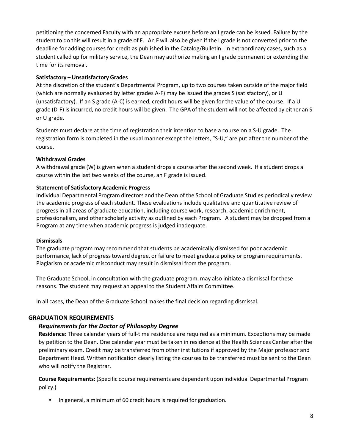petitioning the concerned Faculty with an appropriate excuse before an I grade can be issued. Failure by the student to do this will result in a grade of F. An F will also be given if the I grade is not converted prior to the deadline for adding courses for credit as published in the Catalog/Bulletin. In extraordinary cases, such as a student called up for military service, the Dean may authorize making an I grade permanent or extending the time for its removal.

# **Satisfactory – Unsatisfactory Grades**

At the discretion of the student's Departmental Program, up to two courses taken outside of the major field (which are normally evaluated by letter grades A-F) may be issued the grades S (satisfactory), or U (unsatisfactory). If an S grade (A-C) is earned, credit hours will be given for the value of the course. If a U grade (D-F) is incurred, no credit hours will be given. The GPA of the student will not be affected by either an S or U grade.

Students must declare at the time of registration their intention to base a course on a S-U grade. The registration form is completed in the usual manner except the letters, "S-U," are put after the number of the course.

# **Withdrawal Grades**

A withdrawal grade (W) is given when a student drops a course after the second week. If a student drops a course within the last two weeks of the course, an F grade is issued.

# **Statement of Satisfactory Academic Progress**

Individual Departmental Program directors and the Dean of the School of Graduate Studies periodically review the academic progress of each student. These evaluations include qualitative and quantitative review of progress in all areas of graduate education, including course work, research, academic enrichment, professionalism, and other scholarly activity as outlined by each Program. A student may be dropped from a Program at any time when academic progress is judged inadequate.

# **Dismissals**

The graduate program may recommend that students be academically dismissed for poor academic performance, lack of progresstoward degree, or failure to meet graduate policy or program requirements. Plagiarism or academic misconduct may result in dismissal from the program.

The Graduate School, in consultation with the graduate program, may also initiate a dismissal for these reasons. The student may request an appeal to the Student Affairs Committee.

In all cases, the Dean of the Graduate School makesthe final decision regarding dismissal.

# <span id="page-7-0"></span>**GRADUATION REQUIREMENTS**

# *Requirementsfor the Doctor of Philosophy Degree*

**Residence**: Three calendar years of full-time residence are required as a minimum. Exceptions may be made by petition to the Dean. One calendar year must be taken in residence at the Health Sciences Center after the preliminary exam. Credit may be transferred from other institutions if approved by the Major professor and Department Head. Written notification clearly listing the courses to be transferred must be sent to the Dean who will notify the Registrar.

**Course Requirements**: (Specific course requirements are dependent upon individual Departmental Program policy.)

• In general, a minimum of 60 credit hours is required for graduation.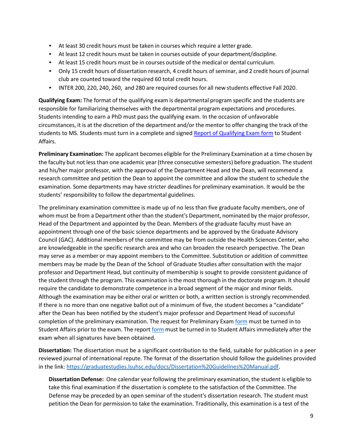- At least 30 credit hours must be taken in courses which require a letter grade.
- At least 12 credit hours must be taken in courses outside of your department/discipline.
- At least 15 credit hours must be in courses outside of the medical or dental curriculum.
- Only 15 credit hours of dissertation research, 4 credit hours of seminar, and 2 credit hours of journal club are counted toward the required 60 total credit hours.
- INTER 200, 220, 240, 260, and 280 are required courses for all new students effective Fall 2020.

**Qualifying Exam:** The format of the qualifying exam is departmental program specific and the students are responsible for familiarizing themselves with the departmental program expectations and procedures. Students intending to earn a PhD must pass the qualifying exam. In the occasion of unfavorable circumstances, it is at the discretion of the department and/or the mentor to offer changing the track of the students to MS. Students must turn in a complete and signed [Report of Qualifying Exam form](https://graduatestudies.lsuhsc.edu/docs/Qualifying%20Exam%20Form.pdf) to Student Affairs.

**Preliminary Examination:** The applicant becomes eligible for the Preliminary Examination at a time chosen by the faculty but not less than one academic year(three consecutive semesters) before graduation. The student and his/her major professor, with the approval of the Department Head and the Dean, will recommend a research committee and petition the Dean to appoint the committee and allow the student to schedule the examination. Some departments may have stricter deadlines for preliminary examination. It would be the students' responsibility to follow the departmental guidelines.

The preliminary examination committee is made up of no less than five graduate faculty members, one of whom must be from a Department other than the student's Department, nominated by the major professor, Head of the Department and appointed by the Dean. Members of the graduate faculty must have an appointment through one of the basic science departments and be approved by the Graduate Advisory Council (GAC). Additional members of the committee may be from outside the Health Sciences Center, who are knowledgeable in the specific research area and who can broaden the research perspective. The Dean may serve as a member or may appoint members to the Committee. Substitution or addition of committee members may be made by the Dean of the School of Graduate Studies after consultation with the major professor and Department Head, but continuity of membership is sought to provide consistent guidance of the student through the program. This examination is the most thorough in the doctorate program. It should require the candidate to demonstrate competence in a broad segment of the major and minor fields. Although the examination may be either oral or written or both, a written section is strongly recommended. If there is no more than one negative ballot out of a minimum of five, the student becomes a "candidate" after the Dean has been notified by the student's major professor and Department Head of successful completion of the preliminary examination. The request for Preliminary Exa[m form](https://graduatestudies.lsuhsc.edu/docs/Request_Preliminary_Exam.pdf) must be turned in to Student Affairs prior to the exam. The repor[t form](https://graduatestudies.lsuhsc.edu/docs/ReportPreliminaryExamination.pdf) must be turned in to Student Affairs immediately after the exam when all signatures have been obtained.

**Dissertation:** The dissertation must be a significant contribution to the field, suitable for publication in a peer reviewed journal of international repute. The format of the dissertation should follow the guidelines provided in the link: [https://graduatestudies.lsuhsc.edu/docs/Dissertation%20Guidelines%20Manual.pdf.](https://graduatestudies.lsuhsc.edu/docs/Dissertation%20Guidelines%20Manual.pdf)

**Dissertation Defense:** One calendar year following the preliminary examination, the student is eligible to take this final examination if the dissertation is complete to the satisfaction of the Committee. The Defense may be preceded by an open seminar of the student's dissertation research. The student must petition the Dean for permission to take the examination. Traditionally, this examination is a test of the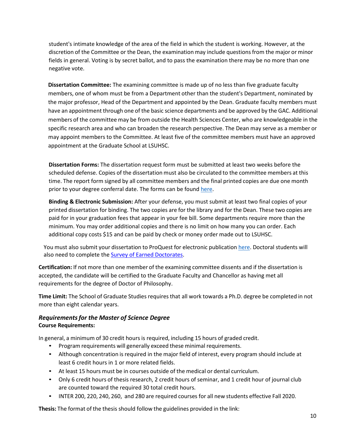student's intimate knowledge of the area of the field in which the student is working. However, at the discretion of the Committee or the Dean, the examination may include questions from the major or minor fields in general. Voting is by secret ballot, and to pass the examination there may be no more than one negative vote.

**Dissertation Committee:** The examining committee is made up of no less than five graduate faculty members, one of whom must be from a Department other than the student's Department, nominated by the major professor, Head of the Department and appointed by the Dean. Graduate faculty members must have an appointment through one of the basic science departments and be approved by the GAC. Additional members of the committee may be from outside the Health Sciences Center, who are knowledgeable in the specific research area and who can broaden the research perspective. The Dean may serve as a member or may appoint members to the Committee. At least five of the committee members must have an approved appointment at the Graduate School at LSUHSC.

**Dissertation Forms:** The dissertation request form must be submitted at least two weeks before the scheduled defense. Copies of the dissertation must also be circulated to the committee members at this time. The report form signed by all committee members and the final printed copies are due one month prior to your degree conferral date. The forms can be found [here.](https://graduatestudies.lsuhsc.edu/forms.aspx)

**Binding & Electronic Submission:** After your defense, you must submit at least two final copies of your printed dissertation for binding. The two copies are for the library and for the Dean. These two copies are paid for in your graduation fees that appear in your fee bill. Some departments require more than the minimum. You may order additional copies and there is no limit on how many you can order. Each additional copy costs \$15 and can be paid by check or money order made out to LSUHSC.

You must also submit your dissertation to ProQuest for electronic publication [here. D](https://secure.etdadmin.com/cgi-bin/etdadmin_login?form=etdadmin&%3Brequest_uri=http%3A%2F%2Fwww.etdadmin.com%2Fcgi-bin%2Fstudent%2Fetd)octoral students will also need to complete the **Survey of Earned Doctorates**.

**Certification:** If not more than one member of the examining committee dissents and if the dissertation is accepted, the candidate will be certified to the Graduate Faculty and Chancellor as having met all requirements for the degree of Doctor of Philosophy.

**Time Limit:** The School of Graduate Studies requiresthat all work towards a Ph.D. degree be completed in not more than eight calendar years.

# *Requirementsfor the Master of Science Degree* **Course Requirements:**

In general, a minimum of 30 credit hours is required, including 15 hours of graded credit.

- Program requirements will generally exceed these minimal requirements.
- Although concentration is required in the major field of interest, every program should include at least 6 credit hours in 1 or more related fields.
- At least 15 hours must be in courses outside of the medical or dental curriculum.
- Only 6 credit hours of thesis research, 2 credit hours of seminar, and 1 credit hour of journal club are counted toward the required 30 total credit hours.
- INTER 200, 220, 240, 260, and 280 are required courses for all new students effective Fall 2020.

**Thesis:** The format of the thesis should follow the guidelines provided in the link: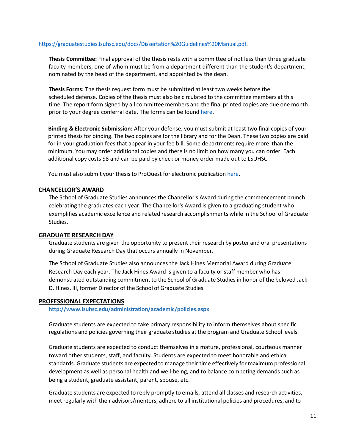#### [https://graduatestudies.lsuhsc.edu/docs/Dissertation%20Guidelines%20Manual.pdf.](https://graduatestudies.lsuhsc.edu/docs/Dissertation%20Guidelines%20Manual.pdf)

**Thesis Committee:** Final approval of the thesis rests with a committee of not less than three graduate faculty members, one of whom must be from a department different than the student's department, nominated by the head of the department, and appointed by the dean.

**Thesis Forms:** The thesis request form must be submitted at least two weeks before the scheduled defense. Copies of the thesis must also be circulated to the committee members at this time. The report form signed by all committee members and the final printed copies are due one month prior to your degree conferral date. The forms can be found [here.](https://graduatestudies.lsuhsc.edu/forms.aspx)

**Binding & Electronic Submission:** After your defense, you must submit at least two final copies of your printed thesis for binding. The two copies are for the library and for the Dean. These two copies are paid for in your graduation fees that appear in your fee bill. Some departments require more than the minimum. You may order additional copies and there is no limit on how many you can order. Each additional copy costs \$8 and can be paid by check or money order made out to LSUHSC.

You must also submit your thesis to ProQuest for electronic publicatio[n here.](https://secure.etdadmin.com/cgi-bin/etdadmin_login?form=etdadmin&%3Brequest_uri=http%3A%2F%2Fwww.etdadmin.com%2Fcgi-bin%2Fstudent%2Fetd)

#### <span id="page-10-0"></span>**CHANCELLOR'S AWARD**

The School of Graduate Studies announces the Chancellor's Award during the commencement brunch celebrating the graduates each year. The Chancellor's Award is given to a graduating student who exemplifies academic excellence and related research accomplishments while in the School of Graduate Studies.

#### <span id="page-10-1"></span>**GRADUATE RESEARCH DAY**

Graduate students are given the opportunity to present their research by poster and oral presentations during Graduate Research Day that occurs annually in November.

The School of Graduate Studies also announces the Jack Hines Memorial Award during Graduate Research Day each year. The Jack Hines Award is given to a faculty or staff member who has demonstrated outstanding commitment to the School of Graduate Studies in honor of the beloved Jack D. Hines, III, former Director of the School of Graduate Studies.

#### <span id="page-10-2"></span>**PROFESSIONAL EXPECTATIONS**

**<http://www.lsuhsc.edu/administration/academic/policies.aspx>**

Graduate students are expected to take primary responsibility to inform themselves about specific regulations and policies governing their graduate studies at the program and Graduate School levels.

Graduate students are expected to conduct themselves in a mature, professional, courteous manner toward other students, staff, and faculty. Students are expected to meet honorable and ethical standards. Graduate students are expected to manage their time effectively for maximum professional development as well as personal health and well-being, and to balance competing demands such as being a student, graduate assistant, parent, spouse, etc.

Graduate students are expected to reply promptly to emails, attend all classes and research activities, meet regularly with their advisors/mentors, adhere to all institutional policies and procedures, and to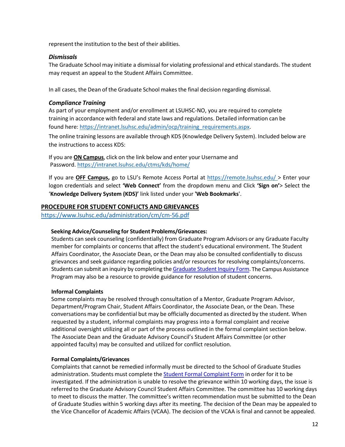represent the institution to the best of their abilities.

#### *Dismissals*

The Graduate School may initiate a dismissal for violating professional and ethical standards. The student may request an appeal to the Student Affairs Committee.

In all cases, the Dean of the Graduate School makesthe final decision regarding dismissal.

# *Compliance Training*

As part of your employment and/or enrollment at LSUHSC-NO, you are required to complete training in accordance with federal and state laws and regulations. Detailed information can be found here[: https://intranet.lsuhsc.edu/admin/ocp/training\\_requirements.aspx.](https://intranet.lsuhsc.edu/admin/ocp/training_requirements.aspx)

The online training lessons are available through KDS (Knowledge Delivery System). Included below are the instructions to access KDS:

If you are **ON Campus**, click on the link below and enter your Username and Password.<https://intranet.lsuhsc.edu/ctms/kds/home/>

If you are **OFF Campus,** go to LSU's Remote Access Portal at [https://remote.lsuhsc.edu/ >](https://remote.lsuhsc.edu/) Enter your logon credentials and select **'Web Connect'** from the dropdown menu and Click **'Sign on'**> Select the '**Knowledge Delivery System (KDS)'** link listed under your **'Web Bookmarks**'.

# <span id="page-11-0"></span>**PROCEDURE FOR STUDENT CONFLICTS AND GRIEVANCES**

<https://www.lsuhsc.edu/administration/cm/cm-56.pdf>

# **Seeking Advice/Counseling for Student Problems/Grievances:**

Students can seek counseling (confidentially) from Graduate Program Advisors or any Graduate Faculty member for complaints or concerns that affect the student's educational environment. The Student Affairs Coordinator, the Associate Dean, or the Dean may also be consulted confidentially to discuss grievances and seek guidance regarding policies and/or resources for resolving complaints/concerns. Students can submit an inquiry by completing the Graduate Student Inquiry Form. The Campus Assistance Program may also be a resource to provide guidance for resolution of student concerns.

# **Informal Complaints**

Some complaints may be resolved through consultation of a Mentor, Graduate Program Advisor, Department/Program Chair, Student Affairs Coordinator, the Associate Dean, or the Dean. These conversations may be confidential but may be officially documented as directed by the student. When requested by a student, informal complaints may progress into a formal complaint and receive additional oversight utilizing all or part of the process outlined in the formal complaint section below. The Associate Dean and the Graduate Advisory Council's Student Affairs Committee (or other appointed faculty) may be consulted and utilized for conflict resolution.

# **Formal Complaints/Grievances**

Complaints that cannot be remedied informally must be directed to the School of Graduate Studies administration. Students must complete the **Student Formal [Complaint](https://forms.office.com/Pages/ResponsePage.aspx?id=iTYGNNSCiU6jKBq3nMWNnfqdfMkFPJxPpJtoW-lUsplUQ1JKRURKUk9WTFpZS0dMOVMwOEJJS0E2Ry4u) Form** in order for it to be investigated. If the administration is unable to resolve the grievance within 10 working days, the issue is referred to the Graduate Advisory Council Student Affairs Committee. The committee has 10 working days to meet to discuss the matter. The committee's written recommendation must be submitted to the Dean of Graduate Studies within 5 working days after its meeting. The decision of the Dean may be appealed to the Vice Chancellor of Academic Affairs (VCAA). The decision of the VCAA is final and cannot be appealed.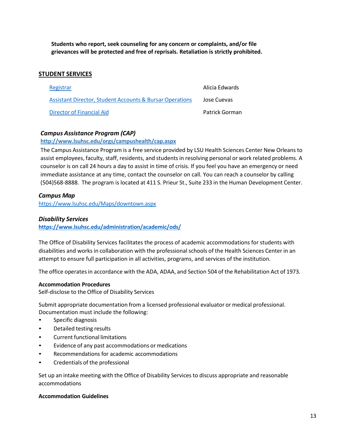**Students who report, seek counseling for any concern or complaints, and/or file grievances will be protected and free of reprisals. Retaliation is strictly prohibited.**

# <span id="page-12-0"></span>**STUDENT SERVICES**

| Registrar                                                | Alicia Edwards |
|----------------------------------------------------------|----------------|
| Assistant Director, Student Accounts & Bursar Operations | Jose Cuevas    |
| <b>Director of Financial Aid</b>                         | Patrick Gorman |

# *Campus Assistance Program (CAP)*

**<http://www.lsuhsc.edu/orgs/campushealth/cap.aspx>**

The Campus Assistance Program is a free service provided by LSU Health Sciences Center New Orleans to assist employees, faculty, staff, residents, and students in resolving personal or work related problems. A counselor is on call 24 hours a day to assist in time of crisis. If you feel you have an emergency or need immediate assistance at any time, contact the counselor on call. You can reach a counselor by calling (504)568-8888. The program is located at 411 S. Prieur St., Suite 233 in the Human Development Center.

#### *Campus Map*

<https://www.lsuhsc.edu/Maps/downtown.aspx>

#### *Disability Services*

**<https://www.lsuhsc.edu/administration/academic/ods/>**

The Office of Disability Services facilitates the process of academic accommodations for students with disabilities and works in collaboration with the professional schools of the Health Sciences Center in an attempt to ensure full participation in all activities, programs, and services of the institution.

The office operatesin accordance with the ADA, ADAA, and Section 504 of the Rehabilitation Act of 1973.

#### **Accommodation Procedures**

Self-disclose to the Office of Disability Services

Submit appropriate documentation from a licensed professional evaluator or medical professional. Documentation must include the following:

- Specific diagnosis
- Detailed testing results
- Current functional limitations
- Evidence of any past accommodations or medications
- Recommendations for academic accommodations
- Credentials of the professional

Set up an intake meeting with the Office of Disability Servicesto discuss appropriate and reasonable accommodations

#### **Accommodation Guidelines**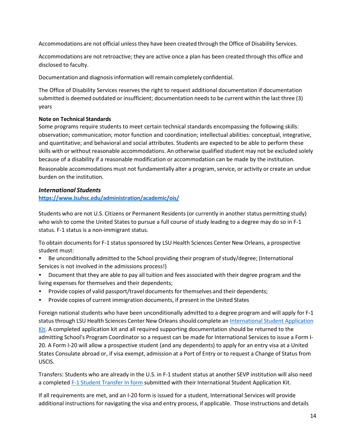Accommodations are not official unless they have been created through the Office of Disability Services.

Accommodations are not retroactive; they are active once a plan has been created through this office and disclosed to faculty.

Documentation and diagnosis information will remain completely confidential.

The Office of Disability Services reserves the right to request additional documentation if documentation submitted is deemed outdated or insufficient; documentation needsto be current within the last three (3) years

# **Note on Technical Standards**

Some programs require students to meet certain technical standards encompassing the following skills: observation; communication; motor function and coordination; intellectual abilities: conceptual, integrative, and quantitative; and behavioral and social attributes. Students are expected to be able to perform these skills with or without reasonable accommodations. An otherwise qualified student may not be excluded solely because of a disability if a reasonable modification or accommodation can be made by the institution.

Reasonable accommodations must not fundamentally alter a program, service, or activity or create an undue burden on the institution.

# *International Students*

# **<https://www.lsuhsc.edu/administration/academic/ois/>**

Students who are not U.S. Citizens or Permanent Residents (or currently in another status permitting study) who wish to come the United States to pursue a full course of study leading to a degree may do so in F-1 status. F-1 status is a non-immigrant status.

To obtain documents for F-1 status sponsored by LSU Health Sciences Center New Orleans, a prospective student must:

- Be unconditionally admitted to the School providing their program of study/degree; (International Services is not involved in the admissions process!)
- Document that they are able to pay all tuition and fees associated with their degree program and the living expenses for themselves and their dependents;
- Provide copies of valid passport/travel documents for themselves and their dependents;
- Provide copies of current immigration documents, if present in the United States

Foreign national students who have been unconditionally admitted to a degree program and will apply for F-1 status through LSU Health Sciences Center New Orleans should complete an [International](https://www.lsuhsc.edu/administration/academic/ois/docs/Complete%20FJ.Student%20Application.Kit.REA.06.23.2016.WebLinksIncl.pdf) Student Application [Kit. A](https://www.lsuhsc.edu/administration/academic/ois/docs/Complete%20FJ.Student%20Application.Kit.REA.06.23.2016.WebLinksIncl.pdf) completed application kit and all required supporting documentation should be returned to the admitting School's Program Coordinator so a request can be made for International Services to issue a Form I-20. A Form I-20 will allow a prospective student (and any dependents) to apply for an entry visa at a United States Consulate abroad or, if visa exempt, admission at a Port of Entry or to request a Change of Status from USCIS.

Transfers: Students who are already in the U.S. in F-1 student status at another SEVP institution will also need a completed **F-1 Student Transfer In form** submitted with their International Student Application Kit.

If all requirements are met, and an I-20 form is issued for a student, International Services will provide additional instructions for navigating the visa and entry process, if applicable. Those instructions and details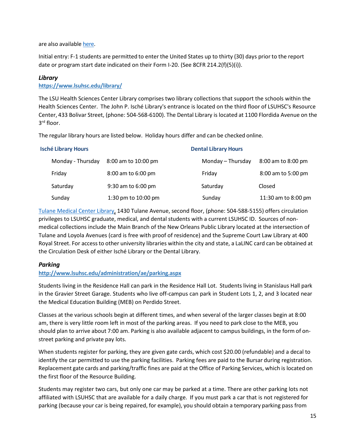are also available [here.](https://www.lsuhsc.edu/administration/academic/ois/docs/Packet%20-%20Instructions%20for%20visa%20appl%20-%20F.REA.02.2014.pdf)

Initial entry: F-1 students are permitted to enter the United States up to thirty (30) days prior to the report date or program start date indicated on their Form I-20. (See 8CFR 214.2(f)(5)(i)).

# *Library*

#### **<https://www.lsuhsc.edu/library/>**

The LSU Health Sciences Center Library comprises two library collections that support the schools within the Health Sciences Center. The John P. Isché Library's entrance is located on the third floor of LSUHSC's Resource Center, 433 Bolivar Street, (phone: 504-568-6100). The Dental Library is located at 1100 Flordida Avenue on the 3rd floor.

The regular library hours are listed below. Holiday hours differ and can be checked online.

| <b>Isché Library Hours</b> |                   |                     | <b>Dental Library Hours</b> |                     |  |
|----------------------------|-------------------|---------------------|-----------------------------|---------------------|--|
|                            | Monday - Thursday | 8:00 am to 10:00 pm | Monday - Thursday           | 8:00 am to 8:00 pm  |  |
|                            | Friday            | 8:00 am to 6:00 pm  | Friday                      | 8:00 am to 5:00 pm  |  |
|                            | Saturday          | 9:30 am to 6:00 pm  | Saturday                    | Closed              |  |
|                            | Sunday            | 1:30 pm to 10:00 pm | Sunday                      | 11:30 am to 8:00 pm |  |

[Tulane Medical Center Library, 1](http://matas.tulane.edu/)430 Tulane Avenue, second floor, (phone: 504-588-5155) offers circulation privileges to LSUHSC graduate, medical, and dental students with a current LSUHSC ID. Sources of nonmedical collections include the Main Branch of the New Orleans Public Library located at the intersection of Tulane and Loyola Avenues (card is free with proof of residence) and the Supreme Court Law Library at 400 Royal Street. For accessto other university libraries within the city and state, a LaLINC card can be obtained at the Circulation Desk of either Isché Library or the Dental Library.

# *Parking*

# **<http://www.lsuhsc.edu/administration/ae/parking.aspx>**

Students living in the Residence Hall can park in the Residence Hall Lot. Students living in Stanislaus Hall park in the Gravier Street Garage. Students who live off-campus can park in Student Lots 1, 2, and 3 located near the Medical Education Building (MEB) on Perdido Street.

Classes at the various schools begin at different times, and when several of the larger classes begin at 8:00 am, there is very little room left in most of the parking areas. If you need to park close to the MEB, you should plan to arrive about 7:00 am. Parking is also available adjacent to campus buildings, in the form of onstreet parking and private pay lots.

When students register for parking, they are given gate cards, which cost \$20.00 (refundable) and a decal to identify the car permitted to use the parking facilities. Parking fees are paid to the Bursar during registration. Replacement gate cards and parking/traffic fines are paid at the Office of Parking Services, which is located on the first floor of the Resource Building.

Students may register two cars, but only one car may be parked at a time. There are other parking lots not affiliated with LSUHSC that are available for a daily charge. If you must park a car that is not registered for parking (because your car is being repaired, for example), you should obtain a temporary parking pass from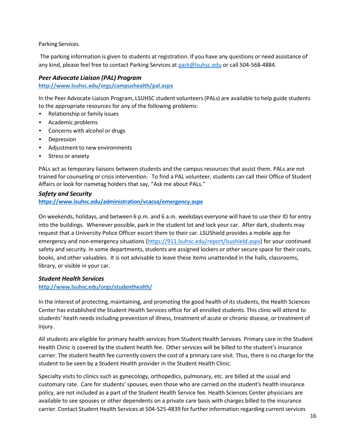Parking Services.

The parking information is given to students at registration. If you have any questions or need assistance of any kind, please feel free to contact Parking Services a[t park@lsuhsc.edu](mailto:park@lsuhsc.edu) or call 504-568-4884.

# *Peer Advocate Liaison (PAL) Program*

**<http://www.lsuhsc.edu/orgs/campushealth/pal.aspx>**

In the Peer Advocate Liaison Program, LSUHSC student volunteers(PALs) are available to help guide students to the appropriate resources for any of the following problems:

- Relationship or family issues
- Academic problems
- Concerns with alcohol or drugs
- Depression
- Adjustment to new environments
- Stress or anxiety

PALs act as temporary liaisons between students and the campus resources that assist them. PALs are not trained for counseling or crisis intervention. To find a PAL volunteer, students can call their Office of Student Affairs or look for nametag holders that say, "Ask me about PALs."

# *Safety and Security*

**<https://www.lsuhsc.edu/administration/vcacsa/emergency.aspx>**

On weekends, holidays, and between 6 p.m. and 6 a.m. weekdays everyone will have to use their ID for entry into the buildings. Whenever possible, park in the student lot and lock your car. After dark, students may request that a University Police Officer escort them to their car. LSUShield provides a mobile app for emergency and non-emergency situations (https://911.Isuhsc.edu/report/Isushield.aspx) for your continued safety and security. In some departments, students are assigned lockers or other secure space for their coats, books, and other valuables. It is not advisable to leave these items unattended in the halls, classrooms, library, or visible in your car.

#### *Student Health Services*

**<http://www.lsuhsc.edu/orgs/studenthealth/>**

In the interest of protecting, maintaining, and promoting the good health of its students, the Health Sciences Center has established the Student Health Services office for all enrolled students. This clinic will attend to students' heath needs including prevention of illness, treatment of acute or chronic disease, or treatment of injury.

All students are eligible for primary health services from Student Health Services. Primary care in the Student Health Clinic is covered by the student health fee. Other services will be billed to the student's insurance carrier. The student health fee currently covers the cost of a primary care visit. Thus, there is no charge for the student to be seen by a Student Health provider in the Student Health Clinic.

Specialty visits to clinics such as gynecology, orthopedics, pulmonary, etc. are billed at the usual and customary rate. Care for students' spouses, even those who are carried on the student's health insurance policy, are not included as a part of the Student Health Service fee. Health Sciences Center physicians are available to see spouses or other dependents on a private care basis with charges billed to the insurance carrier. Contact Student Health Services at 504-525-4839 for further information regarding current services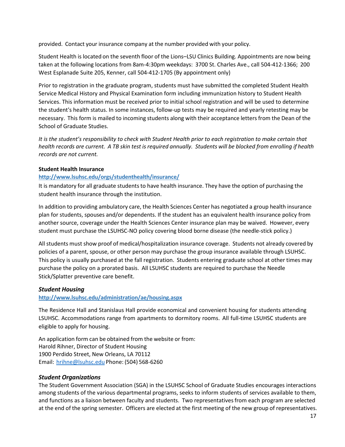provided. Contact your insurance company at the number provided with your policy.

Student Health is located on the seventh floor of the Lions–LSU Clinics Building. Appointments are now being taken at the following locations from 8am-4:30pm weekdays: 3700 St. Charles Ave., call 504-412-1366; 200 West Esplanade Suite 205, Kenner, call 504-412-1705 (By appointment only)

Prior to registration in the graduate program, students must have submitted the completed Student Health Service Medical History and Physical Examination form including immunization history to Student Health Services. This information must be received prior to initial school registration and will be used to determine the student's health status. In some instances, follow-up tests may be required and yearly retesting may be necessary. This form is mailed to incoming students along with their acceptance letters from the Dean of the School of Graduate Studies.

*It is the student's responsibility to check with Student Health prior to each registration to make certain that*  health records are current. A TB skin test is required annually. Students will be blocked from enrolling if health *records are not current.*

#### **Student Health Insurance**

#### **<http://www.lsuhsc.edu/orgs/studenthealth/insurance/>**

It is mandatory for all graduate students to have health insurance. They have the option of purchasing the student health insurance through the institution.

In addition to providing ambulatory care, the Health Sciences Center has negotiated a group health insurance plan for students, spouses and/or dependents. If the student has an equivalent health insurance policy from another source, coverage under the Health Sciences Center insurance plan may be waived. However, every student must purchase the LSUHSC-NO policy covering blood borne disease (the needle-stick policy.)

All students must show proof of medical/hospitalization insurance coverage. Students not already covered by policies of a parent, spouse, or other person may purchase the group insurance available through LSUHSC. This policy is usually purchased at the fall registration. Students entering graduate school at other times may purchase the policy on a prorated basis. All LSUHSC students are required to purchase the Needle Stick/Splatter preventive care benefit.

# *Student Housing*

# **<http://www.lsuhsc.edu/administration/ae/housing.aspx>**

The Residence Hall and Stanislaus Hall provide economical and convenient housing for students attending LSUHSC. Accommodations range from apartments to dormitory rooms. All full-time LSUHSC students are eligible to apply for housing.

An application form can be obtained from the website or from: Harold Rihner, Director of Student Housing 1900 Perdido Street, New Orleans, LA 70112 Email: [hrihne@lsuhsc.edu](mailto:dlausc@lsuhsc.edu) Phone: (504) 568-6260

# *Student Organizations*

The Student Government Association (SGA) in the LSUHSC School of Graduate Studies encourages interactions among students of the various departmental programs, seeks to inform students of services available to them, and functions as a liaison between faculty and students. Two representativesfrom each program are selected at the end of the spring semester. Officers are elected at the first meeting of the new group of representatives.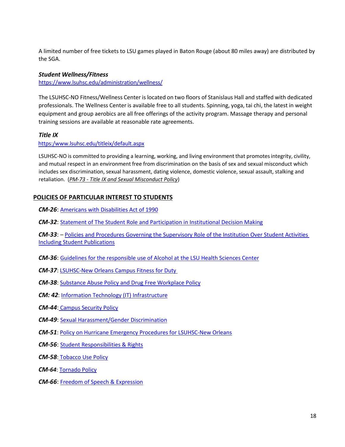A limited number of free tickets to LSU games played in Baton Rouge (about 80 miles away) are distributed by the SGA.

#### *Student Wellness/Fitness*

<https://www.lsuhsc.edu/administration/wellness/>

The LSUHSC-NO Fitness/Wellness Center is located on two floors of Stanislaus Hall and staffed with dedicated professionals. The Wellness Center is available free to all students. Spinning, yoga, tai chi, the latest in weight equipment and group aerobics are all free offerings of the activity program. Massage therapy and personal training sessions are available at reasonable rate agreements.

#### *Title IX*

[https:/www.lsuhsc.edu/titleix/default.aspx](https://www.lsuhsc.edu/titleix/default.aspx)

LSUHSC-NO is committed to providing a learning, working, and living environment that promotesintegrity, civility, and mutual respect in an environment free from discrimination on the basis of sex and sexual misconduct which includes sex discrimination, sexual harassment, dating violence, domestic violence, sexual assault, stalking and retaliation. (*[PM-73 - Title IX and Sexual Misconduct Policy](https://www.lsuhsc.edu/administration/pm/pm-73.pdf)*)

# <span id="page-17-0"></span>**POLICIES OF PARTICULAR INTEREST TO STUDENTS**

*CM-26*: [Americans with Disabilities Act of 1990](https://www.lsuhsc.edu/administration/cm/cm-26.pdf)

*CM-32*: [Statement of The Student Role and Participation in Institutional Decision Making](https://www.lsuhsc.edu/administration/cm/cm-32.pdf)

*CM***-***33*: – [Policies and Procedures Governing the Supervisory Role of the Institution Over Student Activities](https://www.lsuhsc.edu/administration/cm/cm-33.pdf)  [Including Student Publications](https://www.lsuhsc.edu/administration/cm/cm-33.pdf)

*CM***-***36*: [Guidelines for the responsible use of Alcohol at the LSU Health Sciences Center](https://www.lsuhsc.edu/administration/cm/cm-36.pdf)

*CM-37*: [LSUHSC-New Orleans Campus Fitness for Duty](https://www.lsuhsc.edu/administration/cm/cm-37.pdf) 

*CM-38*: [Substance Abuse Policy and Drug Free Workplace Policy](https://www.lsuhsc.edu/administration/cm/cm-38.pdf)

*CM: 42*[: Information Technology \(IT\) Infrastructure](https://www.lsuhsc.edu/administration/cm/cm-42.pdf)

*CM-44*: [Campus Security Policy](https://www.lsuhsc.edu/administration/cm/cm-44.pdf)

*CM-49*: [Sexual Harassment/Gender Discrimination](https://www.lsuhsc.edu/administration/cm/cm-49.pdf)

*CM-51*: [Policy on Hurricane Emergency Procedures for LSUHSC-New Orleans](https://www.lsuhsc.edu/administration/cm/cm-51.pdf)

*CM-56*: [Student Responsibilities & Rights](https://www.lsuhsc.edu/administration/cm/cm-56.pdf)

*CM-58*: [Tobacco Use Policy](https://www.lsuhsc.edu/administration/cm/cm-58.pdf)

*CM-64*: [Tornado Policy](https://www.lsuhsc.edu/administration/cm/CM-64.pdf)

<span id="page-17-1"></span>*CM-66*: [Freedom of Speech & Expression](https://www.lsuhsc.edu/administration/cm/CM-66.pdf)